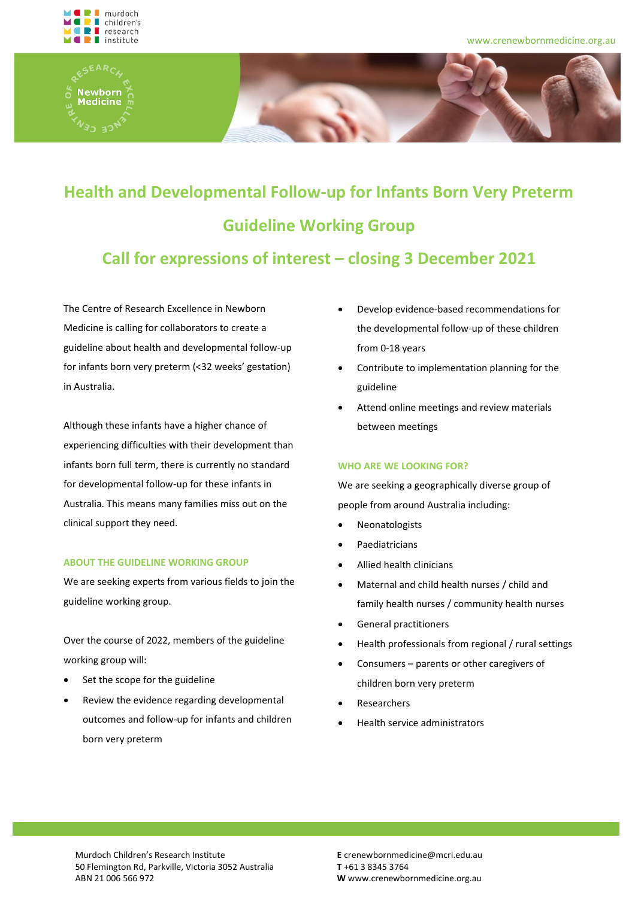





# **Health and Developmental Follow-up for Infants Born Very Preterm Guideline Working Group**

## **Call for expressions of interest – closing 3 December 2021**

The Centre of Research Excellence in Newborn Medicine is calling for collaborators to create a guideline about health and developmental follow-up for infants born very preterm (<32 weeks' gestation) in Australia.

Although these infants have a higher chance of experiencing difficulties with their development than infants born full term, there is currently no standard for developmental follow-up for these infants in Australia. This means many families miss out on the clinical support they need.

### **ABOUT THE GUIDELINE WORKING GROUP**

We are seeking experts from various fields to join the guideline working group.

Over the course of 2022, members of the guideline working group will:

- Set the scope for the guideline
- Review the evidence regarding developmental outcomes and follow-up for infants and children born very preterm
- Develop evidence-based recommendations for the developmental follow-up of these children from 0-18 years
- Contribute to implementation planning for the guideline
- Attend online meetings and review materials between meetings

### **WHO ARE WE LOOKING FOR?**

We are seeking a geographically diverse group of people from around Australia including:

- **Neonatologists**
- **Paediatricians**
- Allied health clinicians
- Maternal and child health nurses / child and family health nurses / community health nurses
- General practitioners
- Health professionals from regional / rural settings
- Consumers parents or other caregivers of children born very preterm
- **Researchers**
- Health service administrators

Murdoch Children's Research Institute 50 Flemington Rd, Parkville, Victoria 3052 Australia ABN 21 006 566 972

**E** crenewbornmedicine@mcri.edu.au **T** +61 3 8345 3764 **W** www.crenewbornmedicine.org.au